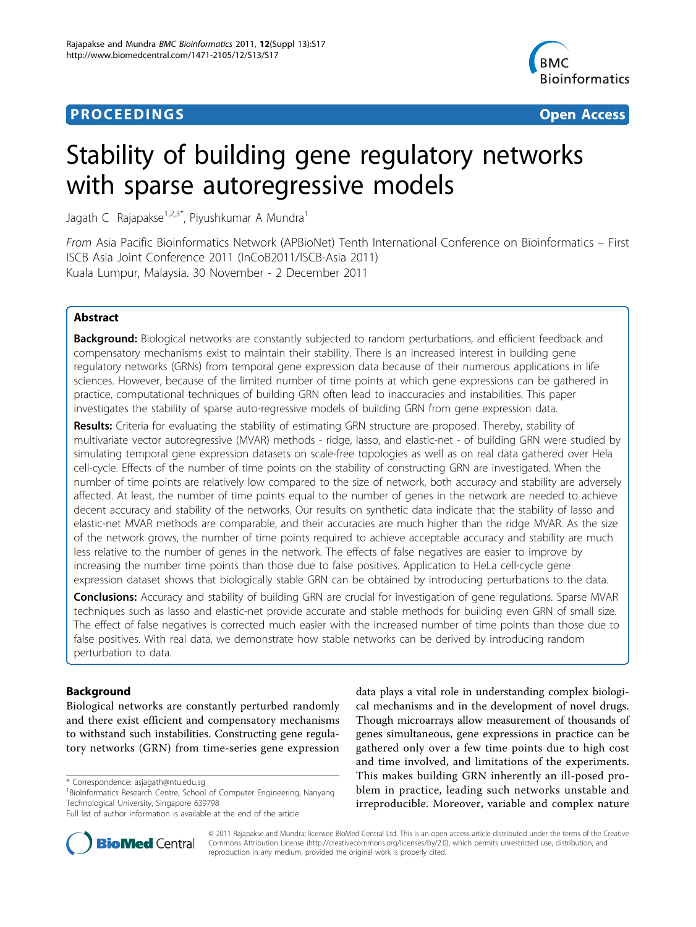## **PROCEEDINGS STATE ACCESS CONSUMING SECTION CONSUMING SECTION CONSUMING SECTION CONSUMING SECTION CONSUMING SECTION CONSUMING SECTION CONSUMING SECTION CONSUMING SECTION CONSUMING SECTION CONSUMING SECTION CONSUMING SE**



# Stability of building gene regulatory networks with sparse autoregressive models

Jagath C Rajapakse<sup>1,2,3\*</sup>, Piyushkumar A Mundra<sup>1</sup>

From Asia Pacific Bioinformatics Network (APBioNet) Tenth International Conference on Bioinformatics – First ISCB Asia Joint Conference 2011 (InCoB2011/ISCB-Asia 2011) Kuala Lumpur, Malaysia. 30 November - 2 December 2011

## Abstract

Background: Biological networks are constantly subjected to random perturbations, and efficient feedback and compensatory mechanisms exist to maintain their stability. There is an increased interest in building gene regulatory networks (GRNs) from temporal gene expression data because of their numerous applications in life sciences. However, because of the limited number of time points at which gene expressions can be gathered in practice, computational techniques of building GRN often lead to inaccuracies and instabilities. This paper investigates the stability of sparse auto-regressive models of building GRN from gene expression data.

Results: Criteria for evaluating the stability of estimating GRN structure are proposed. Thereby, stability of multivariate vector autoregressive (MVAR) methods - ridge, lasso, and elastic-net - of building GRN were studied by simulating temporal gene expression datasets on scale-free topologies as well as on real data gathered over Hela cell-cycle. Effects of the number of time points on the stability of constructing GRN are investigated. When the number of time points are relatively low compared to the size of network, both accuracy and stability are adversely affected. At least, the number of time points equal to the number of genes in the network are needed to achieve decent accuracy and stability of the networks. Our results on synthetic data indicate that the stability of lasso and elastic-net MVAR methods are comparable, and their accuracies are much higher than the ridge MVAR. As the size of the network grows, the number of time points required to achieve acceptable accuracy and stability are much less relative to the number of genes in the network. The effects of false negatives are easier to improve by increasing the number time points than those due to false positives. Application to HeLa cell-cycle gene expression dataset shows that biologically stable GRN can be obtained by introducing perturbations to the data.

Conclusions: Accuracy and stability of building GRN are crucial for investigation of gene regulations. Sparse MVAR techniques such as lasso and elastic-net provide accurate and stable methods for building even GRN of small size. The effect of false negatives is corrected much easier with the increased number of time points than those due to false positives. With real data, we demonstrate how stable networks can be derived by introducing random perturbation to data.

## Background

Biological networks are constantly perturbed randomly and there exist efficient and compensatory mechanisms to withstand such instabilities. Constructing gene regulatory networks (GRN) from time-series gene expression

\* Correspondence: [asjagath@ntu.edu.sg](mailto:asjagath@ntu.edu.sg)

Full list of author information is available at the end of the article





© 2011 Rajapakse and Mundra; licensee BioMed Central Ltd. This is an open access article distributed under the terms of the Creative Commons Attribution License [\(http://creativecommons.org/licenses/by/2.0](http://creativecommons.org/licenses/by/2.0)), which permits unrestricted use, distribution, and reproduction in any medium, provided the original work is properly cited.

<sup>&</sup>lt;sup>1</sup> BioInformatics Research Centre, School of Computer Engineering, Nanyang Technological University, Singapore 639798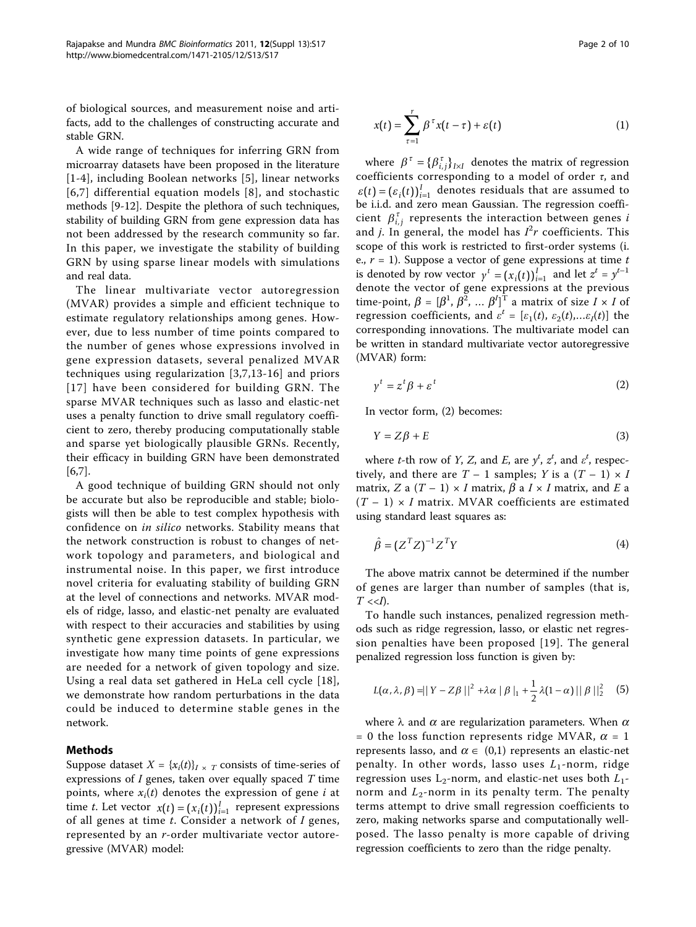of biological sources, and measurement noise and artifacts, add to the challenges of constructing accurate and stable GRN.

A wide range of techniques for inferring GRN from microarray datasets have been proposed in the literature [[1](#page-8-0)-[4](#page-8-0)], including Boolean networks [[5\]](#page-8-0), linear networks [[6](#page-8-0),[7](#page-8-0)] differential equation models [[8\]](#page-8-0), and stochastic methods [\[9-12](#page-8-0)]. Despite the plethora of such techniques, stability of building GRN from gene expression data has not been addressed by the research community so far. In this paper, we investigate the stability of building GRN by using sparse linear models with simulations and real data.

The linear multivariate vector autoregression (MVAR) provides a simple and efficient technique to estimate regulatory relationships among genes. However, due to less number of time points compared to the number of genes whose expressions involved in gene expression datasets, several penalized MVAR techniques using regularization [[3,7](#page-8-0),[13-](#page-8-0)[16](#page-9-0)] and priors [[17](#page-9-0)] have been considered for building GRN. The sparse MVAR techniques such as lasso and elastic-net uses a penalty function to drive small regulatory coefficient to zero, thereby producing computationally stable and sparse yet biologically plausible GRNs. Recently, their efficacy in building GRN have been demonstrated [[6,7](#page-8-0)].

A good technique of building GRN should not only be accurate but also be reproducible and stable; biologists will then be able to test complex hypothesis with confidence on in silico networks. Stability means that the network construction is robust to changes of network topology and parameters, and biological and instrumental noise. In this paper, we first introduce novel criteria for evaluating stability of building GRN at the level of connections and networks. MVAR models of ridge, lasso, and elastic-net penalty are evaluated with respect to their accuracies and stabilities by using synthetic gene expression datasets. In particular, we investigate how many time points of gene expressions are needed for a network of given topology and size. Using a real data set gathered in HeLa cell cycle [[18](#page-9-0)], we demonstrate how random perturbations in the data could be induced to determine stable genes in the network.

## Methods

Suppose dataset  $X = \{x_i(t)\}_I \times \tau$  consists of time-series of expressions of  $I$  genes, taken over equally spaced  $T$  time points, where  $x_i(t)$  denotes the expression of gene i at time t. Let vector  $x(t) = (x_i(t))_{i=1}^I$  represent expressions of all genes at time  $t$ . Consider a network of  $I$  genes, represented by an r-order multivariate vector autoregressive (MVAR) model:

$$
x(t) = \sum_{\tau=1}^{r} \beta^{\tau} x(t-\tau) + \varepsilon(t)
$$
 (1)

where  $\beta^{\tau} = {\beta^{\tau}}_{i,j}$  denotes the matrix of regression coefficients corresponding to a model of order  $\tau$ , and  $\varepsilon(t) = (\varepsilon_i(t))_{i=1}^I$  denotes residuals that are assumed to be i.i.d. and zero mean Gaussian. The regression coefficient  $\beta_{i,j}^{\tau}$  represents the interaction between genes *i* and *j*. In general, the model has  $I^2r$  coefficients. This scope of this work is restricted to first-order systems (i. e.,  $r = 1$ ). Suppose a vector of gene expressions at time  $t$ is denoted by row vector  $y^t = (x_i(t))_{i=1}^T$  and let  $z^t = y^{t-1}$ denote the vector of gene expressions at the previous time-point,  $\beta = [\beta^1, \beta^2, \dots \beta^I]^T$  a matrix of size  $I \times I$  of regression coefficients, and  $\varepsilon^t = [\varepsilon_1(t), \varepsilon_2(t), ... \varepsilon_I(t)]$  the corresponding innovations. The multivariate model can be written in standard multivariate vector autoregressive (MVAR) form:

$$
\gamma^t = z^t \beta + \varepsilon^t \tag{2}
$$

In vector form, (2) becomes:

$$
Y = Z\beta + E \tag{3}
$$

where *t*-th row of *Y*, *Z*, and *E*, are  $y^t$ ,  $z^t$ , and  $\varepsilon^t$ , respectively, and there are  $T - 1$  samples; Y is a  $(T - 1) \times I$ matrix, Z a  $(T - 1) \times I$  matrix,  $\beta$  a  $I \times I$  matrix, and E a  $(T - 1) \times I$  matrix. MVAR coefficients are estimated using standard least squares as:

$$
\hat{\beta} = (Z^T Z)^{-1} Z^T Y \tag{4}
$$

The above matrix cannot be determined if the number of genes are larger than number of samples (that is,  $T \ll l$ ).

To handle such instances, penalized regression methods such as ridge regression, lasso, or elastic net regression penalties have been proposed [[19](#page-9-0)]. The general penalized regression loss function is given by:

$$
L(\alpha, \lambda, \beta) = ||Y - Z\beta||^2 + \lambda \alpha |\beta|_1 + \frac{1}{2}\lambda(1-\alpha) ||\beta||_2^2 \quad (5)
$$

where  $\lambda$  and  $\alpha$  are regularization parameters. When  $\alpha$ = 0 the loss function represents ridge MVAR,  $\alpha$  = 1 represents lasso, and  $\alpha \in (0,1)$  represents an elastic-net penalty. In other words, lasso uses  $L_1$ -norm, ridge regression uses  $L_2$ -norm, and elastic-net uses both  $L_1$ norm and  $L_2$ -norm in its penalty term. The penalty terms attempt to drive small regression coefficients to zero, making networks sparse and computationally wellposed. The lasso penalty is more capable of driving regression coefficients to zero than the ridge penalty.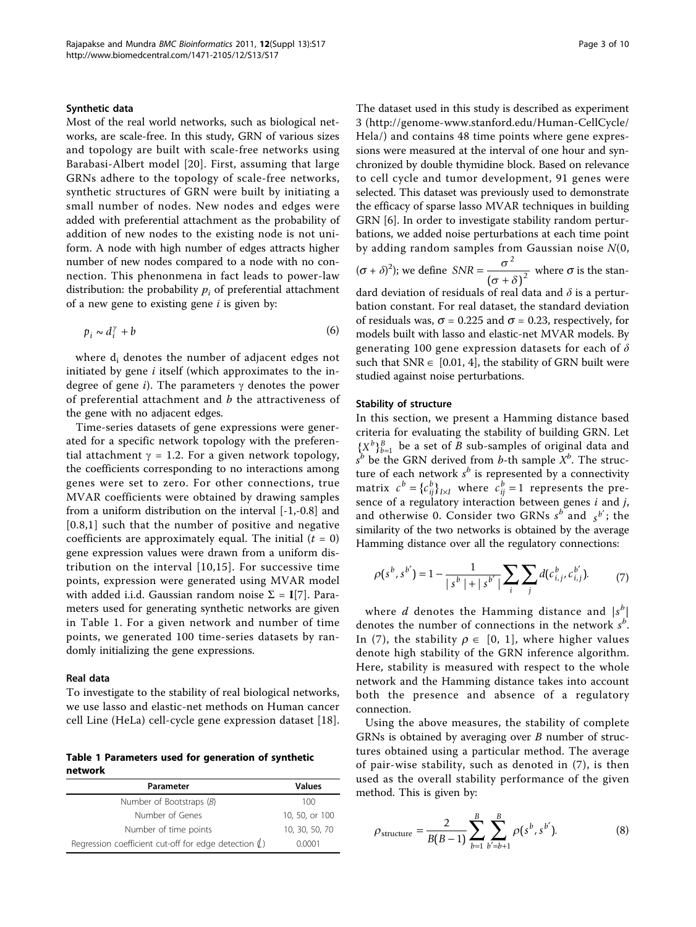#### Synthetic data

Most of the real world networks, such as biological networks, are scale-free. In this study, GRN of various sizes and topology are built with scale-free networks using Barabasi-Albert model [[20](#page-9-0)]. First, assuming that large GRNs adhere to the topology of scale-free networks, synthetic structures of GRN were built by initiating a small number of nodes. New nodes and edges were added with preferential attachment as the probability of addition of new nodes to the existing node is not uniform. A node with high number of edges attracts higher number of new nodes compared to a node with no connection. This phenonmena in fact leads to power-law distribution: the probability  $p_i$  of preferential attachment of a new gene to existing gene  $i$  is given by:

$$
p_i \sim d_i^{\gamma} + b \tag{6}
$$

where d<sub>i</sub> denotes the number of adjacent edges not initiated by gene  $i$  itself (which approximates to the indegree of gene *i*). The parameters  $\gamma$  denotes the power of preferential attachment and  $b$  the attractiveness of the gene with no adjacent edges.

Time-series datasets of gene expressions were generated for a specific network topology with the preferential attachment  $\gamma = 1.2$ . For a given network topology, the coefficients corresponding to no interactions among genes were set to zero. For other connections, true MVAR coefficients were obtained by drawing samples from a uniform distribution on the interval [-1,-0.8] and [0.8,1] such that the number of positive and negative coefficients are approximately equal. The initial  $(t = 0)$ gene expression values were drawn from a uniform distribution on the interval [10,15]. For successive time points, expression were generated using MVAR model with added i.i.d. Gaussian random noise  $\Sigma = I[7]$ . Parameters used for generating synthetic networks are given in Table 1. For a given network and number of time points, we generated 100 time-series datasets by randomly initializing the gene expressions.

#### Real data

To investigate to the stability of real biological networks, we use lasso and elastic-net methods on Human cancer cell Line (HeLa) cell-cycle gene expression dataset [[18](#page-9-0)].

Table 1 Parameters used for generation of synthetic network

| Parameter                                             | Values         |  |  |
|-------------------------------------------------------|----------------|--|--|
| Number of Bootstraps (B)                              | 100            |  |  |
| Number of Genes                                       | 10, 50, or 100 |  |  |
| Number of time points                                 | 10, 30, 50, 70 |  |  |
| Regression coefficient cut-off for edge detection $($ | 0.0001         |  |  |

The dataset used in this study is described as experiment 3 ([http://genome-www.stanford.edu/Human-CellCycle/](http://genome-www.stanford.edu/Human-CellCycle/Hela/) [Hela/](http://genome-www.stanford.edu/Human-CellCycle/Hela/)) and contains 48 time points where gene expressions were measured at the interval of one hour and synchronized by double thymidine block. Based on relevance to cell cycle and tumor development, 91 genes were selected. This dataset was previously used to demonstrate the efficacy of sparse lasso MVAR techniques in building GRN [[6\]](#page-8-0). In order to investigate stability random perturbations, we added noise perturbations at each time point by adding random samples from Gaussian noise  $N(0,$  $(\sigma + \delta)^2$ ); we define *SNR* =  $\frac{\sigma}{(\sigma + \delta)^2}$  $\sigma$  +  $\delta$ 2  $\frac{1}{(\sigma + \delta)^2}$  where  $\sigma$  is the standard deviation of residuals of real data and  $\delta$  is a perturbation constant. For real dataset, the standard deviation of residuals was,  $\sigma$  = 0.225 and  $\sigma$  = 0.23, respectively, for models built with lasso and elastic-net MVAR models. By generating 100 gene expression datasets for each of  $\delta$ such that  $SNR \in [0.01, 4]$ , the stability of GRN built were studied against noise perturbations.

#### Stability of structure

In this section, we present a Hamming distance based criteria for evaluating the stability of building GRN. Let  $\{X^b\}_{b=1}^B$  be a set of *B* sub-samples of original data and  $s^b$  be the GRN derived from b-th sample  $X^b$ . The structure of each network  $s^b$  is represented by a connectivity matrix  $c^b = {c_{ij}^b}_{I \times I}$  where  $c_{ij}^b = 1$  represents the presence of a regulatory interaction between genes  $i$  and  $j$ , and otherwise 0. Consider two GRNs  $s^b$  and  $s^{b'}$ ; the similarity of the two networks is obtained by the average Hamming distance over all the regulatory connections:

$$
\rho(s^b, s^{b'}) = 1 - \frac{1}{|s^b| + |s^{b'}|} \sum_{i} \sum_{j} d(c^b_{i,j}, c^{b'}_{i,j}).
$$
 (7)

where  $d$  denotes the Hamming distance and  $|s^{b}|$ denotes the number of connections in the network  $s^b$ . In (7), the stability  $\rho \in [0, 1]$ , where higher values denote high stability of the GRN inference algorithm. Here, stability is measured with respect to the whole network and the Hamming distance takes into account both the presence and absence of a regulatory connection.

Using the above measures, the stability of complete GRNs is obtained by averaging over  $B$  number of structures obtained using a particular method. The average of pair-wise stability, such as denoted in (7), is then used as the overall stability performance of the given method. This is given by:

$$
\rho_{\text{structure}} = \frac{2}{B(B-1)} \sum_{b=1}^{B} \sum_{b'=b+1}^{B} \rho(s^b, s^{b'}).
$$
 (8)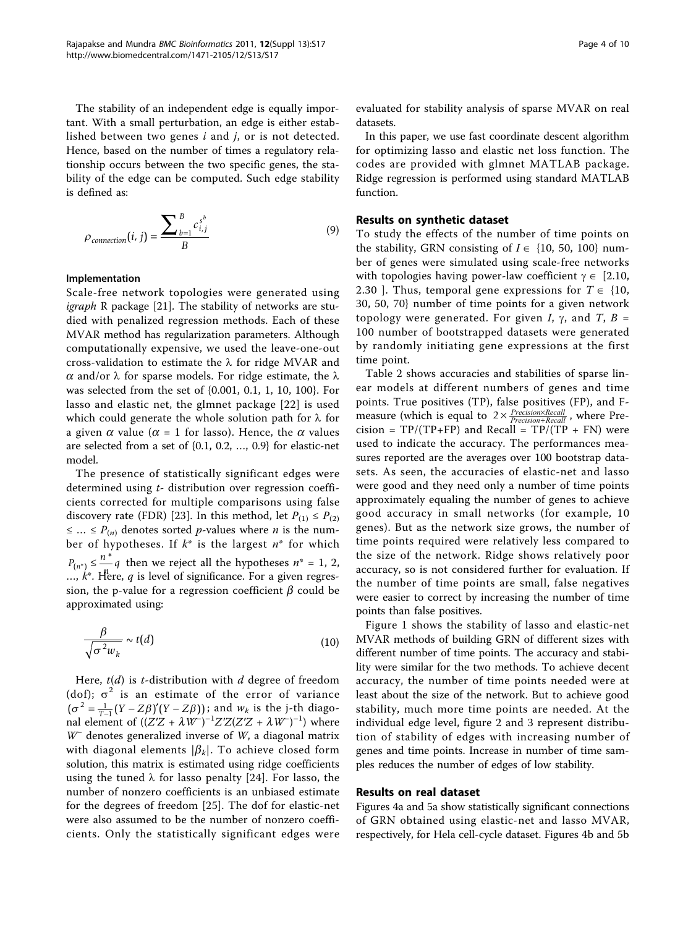The stability of an independent edge is equally important. With a small perturbation, an edge is either established between two genes  $i$  and  $j$ , or is not detected. Hence, based on the number of times a regulatory relationship occurs between the two specific genes, the stability of the edge can be computed. Such edge stability is defined as:

$$
\rho_{connection}(i, j) = \frac{\sum_{b=1}^{B} c_{i,j}^{s^b}}{B}
$$
\n(9)

#### Implementation

Scale-free network topologies were generated using igraph R package [\[21\]](#page-9-0). The stability of networks are studied with penalized regression methods. Each of these MVAR method has regularization parameters. Although computationally expensive, we used the leave-one-out cross-validation to estimate the  $\lambda$  for ridge MVAR and  $\alpha$  and/or  $\lambda$  for sparse models. For ridge estimate, the  $\lambda$ was selected from the set of {0.001, 0.1, 1, 10, 100}. For lasso and elastic net, the glmnet package [[22\]](#page-9-0) is used which could generate the whole solution path for  $\lambda$  for a given  $\alpha$  value ( $\alpha = 1$  for lasso). Hence, the  $\alpha$  values are selected from a set of {0.1, 0.2, …, 0.9} for elastic-net model.

The presence of statistically significant edges were determined using t- distribution over regression coefficients corrected for multiple comparisons using false discovery rate (FDR) [\[23](#page-9-0)]. In this method, let  $P_{(1)} \n\t\leq P_{(2)}$ ≤ ... ≤  $P(n)$  denotes sorted *p*-values where *n* is the number of hypotheses. If  $k^*$  is the largest  $n^*$  for which  $P_{(n^*)} \leq \frac{n^*}{k^*} q$  then we reject all the hypotheses  $n^* = 1, 2,$ <br>  $k^*$  *H*ore *g* is lovel of significance. For a given regres  $..., k^*$ . Here, q is level of significance. For a given regression, the p-value for a regression coefficient  $\beta$  could be approximated using:

$$
\frac{\beta}{\sqrt{\sigma^2 w_k}} \sim t(d) \tag{10}
$$

Here,  $t(d)$  is t-distribution with d degree of freedom (dof);  $\sigma^2$  is an estimate of the error of variance  $(\sigma^2 = \frac{1}{T-1}(Y - Z\beta)'(Y - Z\beta))$ ; and  $w_k$  is the j-th diagonal element of  $((Z'Z + \lambda W^{-})^{-1}Z'Z(Z'Z + \lambda W^{-})^{-1})$  where  $W^-$  denotes generalized inverse of W, a diagonal matrix with diagonal elements  $|\beta_k|$ . To achieve closed form solution, this matrix is estimated using ridge coefficients using the tuned  $\lambda$  for lasso penalty [[24\]](#page-9-0). For lasso, the number of nonzero coefficients is an unbiased estimate for the degrees of freedom [\[25](#page-9-0)]. The dof for elastic-net were also assumed to be the number of nonzero coefficients. Only the statistically significant edges were evaluated for stability analysis of sparse MVAR on real datasets.

In this paper, we use fast coordinate descent algorithm for optimizing lasso and elastic net loss function. The codes are provided with glmnet MATLAB package. Ridge regression is performed using standard MATLAB function.

## Results on synthetic dataset

To study the effects of the number of time points on the stability, GRN consisting of  $I \in \{10, 50, 100\}$  number of genes were simulated using scale-free networks with topologies having power-law coefficient  $\gamma \in [2.10,$ 2.30 ]. Thus, temporal gene expressions for  $T \in \{10,$ 30, 50, 70} number of time points for a given network topology were generated. For given I,  $\gamma$ , and T, B = 100 number of bootstrapped datasets were generated by randomly initiating gene expressions at the first time point.

Table [2](#page-4-0) shows accuracies and stabilities of sparse linear models at different numbers of genes and time points. True positives (TP), false positives (FP), and Fmeasure (which is equal to  $2 \times \frac{Precision \times Recall}{Precision + Recall}$ , where Precision =  $TP/(TP+FP)$  and Recall =  $TP/(TP + FN)$  were used to indicate the accuracy. The performances measures reported are the averages over 100 bootstrap datasets. As seen, the accuracies of elastic-net and lasso were good and they need only a number of time points approximately equaling the number of genes to achieve good accuracy in small networks (for example, 10 genes). But as the network size grows, the number of time points required were relatively less compared to the size of the network. Ridge shows relatively poor accuracy, so is not considered further for evaluation. If the number of time points are small, false negatives were easier to correct by increasing the number of time points than false positives.

Figure [1](#page-5-0) shows the stability of lasso and elastic-net MVAR methods of building GRN of different sizes with different number of time points. The accuracy and stability were similar for the two methods. To achieve decent accuracy, the number of time points needed were at least about the size of the network. But to achieve good stability, much more time points are needed. At the individual edge level, figure [2](#page-5-0) and [3](#page-6-0) represent distribution of stability of edges with increasing number of genes and time points. Increase in number of time samples reduces the number of edges of low stability.

#### Results on real dataset

Figures [4a](#page-6-0) and [5a](#page-6-0) show statistically significant connections of GRN obtained using elastic-net and lasso MVAR, respectively, for Hela cell-cycle dataset. Figures [4b](#page-6-0) and [5b](#page-6-0)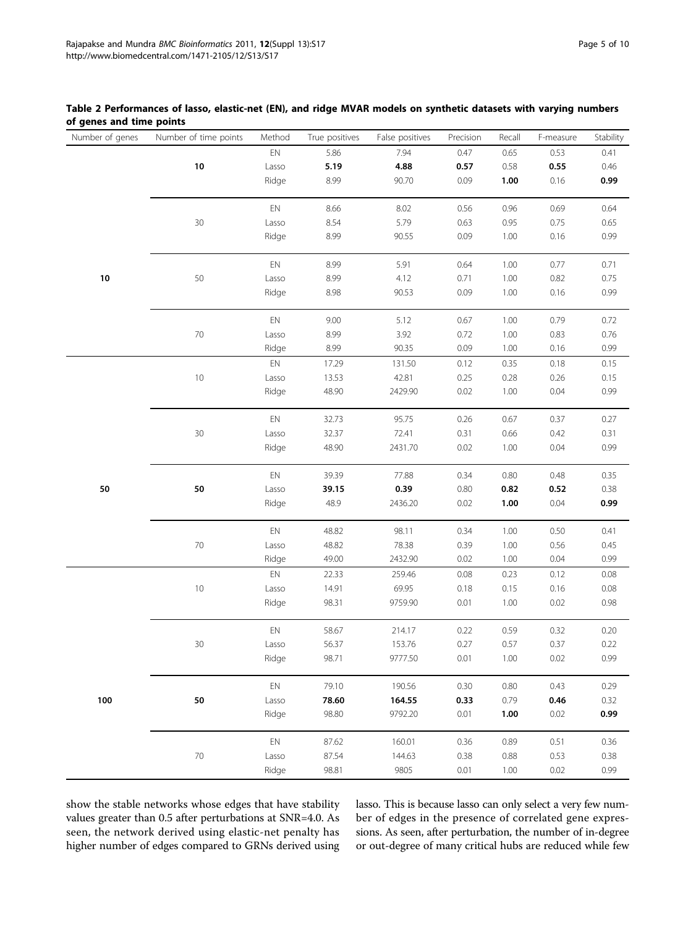## <span id="page-4-0"></span>Table 2 Performances of lasso, elastic-net (EN), and ridge MVAR models on synthetic datasets with varying numbers of genes and time points

| Number of genes | Number of time points | Method     | True positives | False positives | Precision | Recall   | F-measure | Stability |
|-----------------|-----------------------|------------|----------------|-----------------|-----------|----------|-----------|-----------|
|                 |                       | EN         | 5.86           | 7.94            | 0.47      | 0.65     | 0.53      | 0.41      |
|                 | $10\,$                | Lasso      | 5.19           | 4.88            | 0.57      | 0.58     | 0.55      | 0.46      |
|                 |                       | Ridge      | 8.99           | 90.70           | 0.09      | 1.00     | 0.16      | 0.99      |
|                 |                       | ${\sf EN}$ | 8.66           | 8.02            | 0.56      | 0.96     | 0.69      | 0.64      |
|                 | $30\,$                | Lasso      | 8.54           | 5.79            | 0.63      | 0.95     | 0.75      | 0.65      |
|                 |                       | Ridge      | 8.99           | 90.55           | 0.09      | 1.00     | 0.16      | 0.99      |
|                 |                       | ${\sf EN}$ | 8.99           | 5.91            | 0.64      | 1.00     | 0.77      | 0.71      |
| $10\,$          | 50                    | Lasso      | 8.99           | 4.12            | 0.71      | 1.00     | 0.82      | 0.75      |
|                 |                       | Ridge      | 8.98           | 90.53           | 0.09      | 1.00     | 0.16      | 0.99      |
|                 |                       | ${\sf EN}$ | 9.00           | 5.12            | 0.67      | 1.00     | 0.79      | 0.72      |
|                 | $70\,$                | Lasso      | 8.99           | 3.92            | 0.72      | 1.00     | 0.83      | 0.76      |
|                 |                       | Ridge      | 8.99           | 90.35           | 0.09      | 1.00     | 0.16      | 0.99      |
|                 |                       | EN         | 17.29          | 131.50          | 0.12      | 0.35     | 0.18      | 0.15      |
|                 | $10$                  | Lasso      | 13.53          | 42.81           | 0.25      | 0.28     | 0.26      | 0.15      |
|                 |                       | Ridge      | 48.90          | 2429.90         | 0.02      | 1.00     | 0.04      | 0.99      |
|                 |                       | EN         | 32.73          | 95.75           | 0.26      | 0.67     | 0.37      | 0.27      |
|                 | $30\,$                | Lasso      | 32.37          | 72.41           | 0.31      | 0.66     | 0.42      | 0.31      |
|                 |                       | Ridge      | 48.90          | 2431.70         | 0.02      | 1.00     | 0.04      | 0.99      |
|                 |                       | ${\sf EN}$ | 39.39          | 77.88           | 0.34      | 0.80     | 0.48      | 0.35      |
| 50              | 50                    | Lasso      | 39.15          | 0.39            | 0.80      | 0.82     | 0.52      | 0.38      |
|                 |                       | Ridge      | 48.9           | 2436.20         | 0.02      | 1.00     | 0.04      | 0.99      |
|                 |                       | ${\sf EN}$ | 48.82          | 98.11           | 0.34      | 1.00     | 0.50      | 0.41      |
|                 | $70\,$                | Lasso      | 48.82          | 78.38           | 0.39      | 1.00     | 0.56      | 0.45      |
|                 |                       | Ridge      | 49.00          | 2432.90         | 0.02      | 1.00     | 0.04      | 0.99      |
|                 |                       | ${\sf EN}$ | 22.33          | 259.46          | 0.08      | 0.23     | 0.12      | 0.08      |
|                 | $10\,$                | Lasso      | 14.91          | 69.95           | 0.18      | 0.15     | 0.16      | 0.08      |
|                 |                       | Ridge      | 98.31          | 9759.90         | 0.01      | 1.00     | 0.02      | 0.98      |
|                 |                       | ${\sf EN}$ | 58.67          | 214.17          | 0.22      | 0.59     | 0.32      | 0.20      |
|                 | $30\,$                | Lasso      | 56.37          | 153.76          | 0.27      | 0.57     | 0.37      | 0.22      |
|                 |                       | Ridge      | 98.71          | 9777.50         | 0.01      | $1.00\,$ | 0.02      | 0.99      |
|                 |                       | ${\sf EN}$ | 79.10          | 190.56          | 0.30      | 0.80     | 0.43      | 0.29      |
| 100             | 50                    | Lasso      | 78.60          | 164.55          | 0.33      | 0.79     | 0.46      | 0.32      |
|                 |                       | Ridge      | 98.80          | 9792.20         | 0.01      | 1.00     | 0.02      | 0.99      |
|                 |                       | ${\sf EN}$ | 87.62          | 160.01          | 0.36      | 0.89     | 0.51      | 0.36      |
|                 | $70\,$                | Lasso      | 87.54          | 144.63          | 0.38      | 0.88     | 0.53      | 0.38      |
|                 |                       | Ridge      | 98.81          | 9805            | 0.01      | 1.00     | 0.02      | 0.99      |

show the stable networks whose edges that have stability values greater than 0.5 after perturbations at SNR=4.0. As seen, the network derived using elastic-net penalty has higher number of edges compared to GRNs derived using

lasso. This is because lasso can only select a very few number of edges in the presence of correlated gene expressions. As seen, after perturbation, the number of in-degree or out-degree of many critical hubs are reduced while few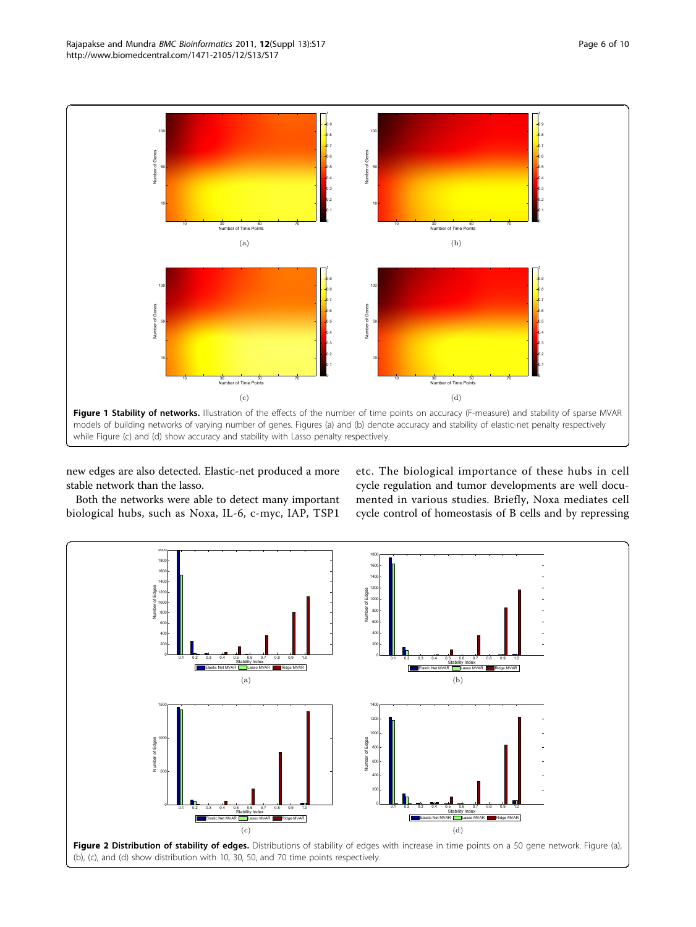<span id="page-5-0"></span>

new edges are also detected. Elastic-net produced a more stable network than the lasso.

Both the networks were able to detect many important biological hubs, such as Noxa, IL-6, c-myc, IAP, TSP1

etc. The biological importance of these hubs in cell cycle regulation and tumor developments are well documented in various studies. Briefly, Noxa mediates cell cycle control of homeostasis of B cells and by repressing

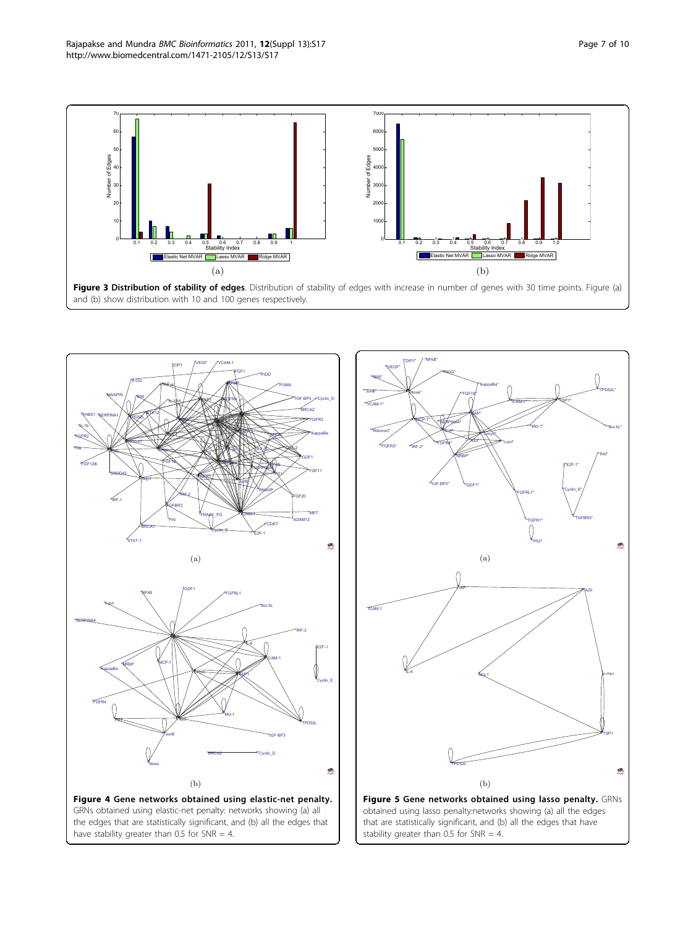<span id="page-6-0"></span>

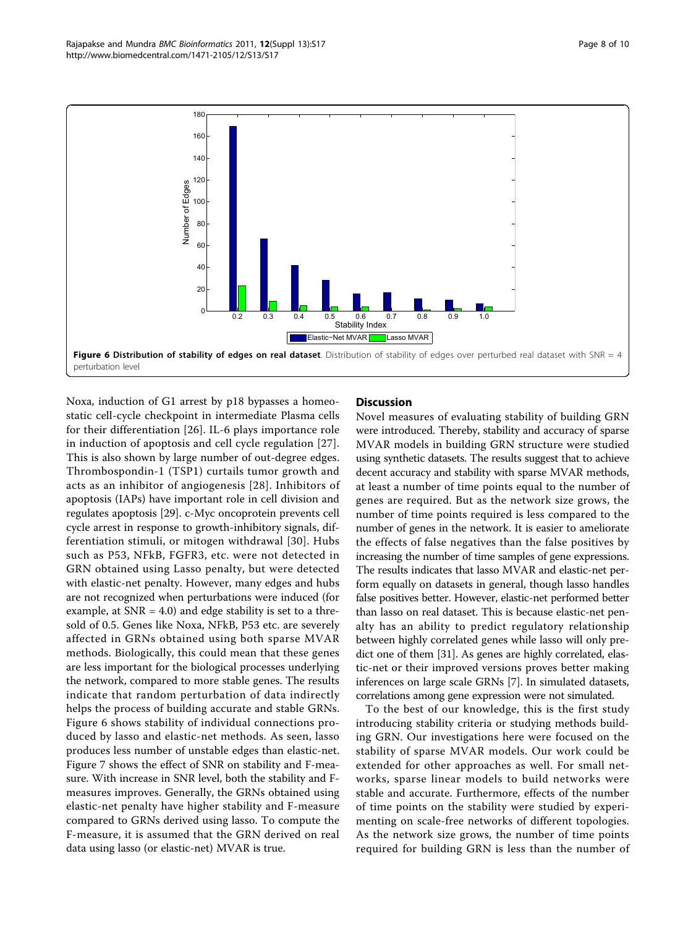

Noxa, induction of G1 arrest by p18 bypasses a homeostatic cell-cycle checkpoint in intermediate Plasma cells for their differentiation [\[26](#page-9-0)]. IL-6 plays importance role in induction of apoptosis and cell cycle regulation [[27](#page-9-0)]. This is also shown by large number of out-degree edges. Thrombospondin-1 (TSP1) curtails tumor growth and acts as an inhibitor of angiogenesis [[28](#page-9-0)]. Inhibitors of apoptosis (IAPs) have important role in cell division and regulates apoptosis [\[29](#page-9-0)]. c-Myc oncoprotein prevents cell cycle arrest in response to growth-inhibitory signals, differentiation stimuli, or mitogen withdrawal [[30](#page-9-0)]. Hubs such as P53, NFkB, FGFR3, etc. were not detected in GRN obtained using Lasso penalty, but were detected with elastic-net penalty. However, many edges and hubs are not recognized when perturbations were induced (for example, at  $SNR = 4.0$ ) and edge stability is set to a thresold of 0.5. Genes like Noxa, NFkB, P53 etc. are severely affected in GRNs obtained using both sparse MVAR methods. Biologically, this could mean that these genes are less important for the biological processes underlying the network, compared to more stable genes. The results indicate that random perturbation of data indirectly helps the process of building accurate and stable GRNs. Figure 6 shows stability of individual connections produced by lasso and elastic-net methods. As seen, lasso produces less number of unstable edges than elastic-net. Figure [7](#page-8-0) shows the effect of SNR on stability and F-measure. With increase in SNR level, both the stability and Fmeasures improves. Generally, the GRNs obtained using elastic-net penalty have higher stability and F-measure compared to GRNs derived using lasso. To compute the F-measure, it is assumed that the GRN derived on real data using lasso (or elastic-net) MVAR is true.

## **Discussion**

Novel measures of evaluating stability of building GRN were introduced. Thereby, stability and accuracy of sparse MVAR models in building GRN structure were studied using synthetic datasets. The results suggest that to achieve decent accuracy and stability with sparse MVAR methods, at least a number of time points equal to the number of genes are required. But as the network size grows, the number of time points required is less compared to the number of genes in the network. It is easier to ameliorate the effects of false negatives than the false positives by increasing the number of time samples of gene expressions. The results indicates that lasso MVAR and elastic-net perform equally on datasets in general, though lasso handles false positives better. However, elastic-net performed better than lasso on real dataset. This is because elastic-net penalty has an ability to predict regulatory relationship between highly correlated genes while lasso will only predict one of them [\[31\]](#page-9-0). As genes are highly correlated, elastic-net or their improved versions proves better making inferences on large scale GRNs [\[7](#page-8-0)]. In simulated datasets, correlations among gene expression were not simulated.

To the best of our knowledge, this is the first study introducing stability criteria or studying methods building GRN. Our investigations here were focused on the stability of sparse MVAR models. Our work could be extended for other approaches as well. For small networks, sparse linear models to build networks were stable and accurate. Furthermore, effects of the number of time points on the stability were studied by experimenting on scale-free networks of different topologies. As the network size grows, the number of time points required for building GRN is less than the number of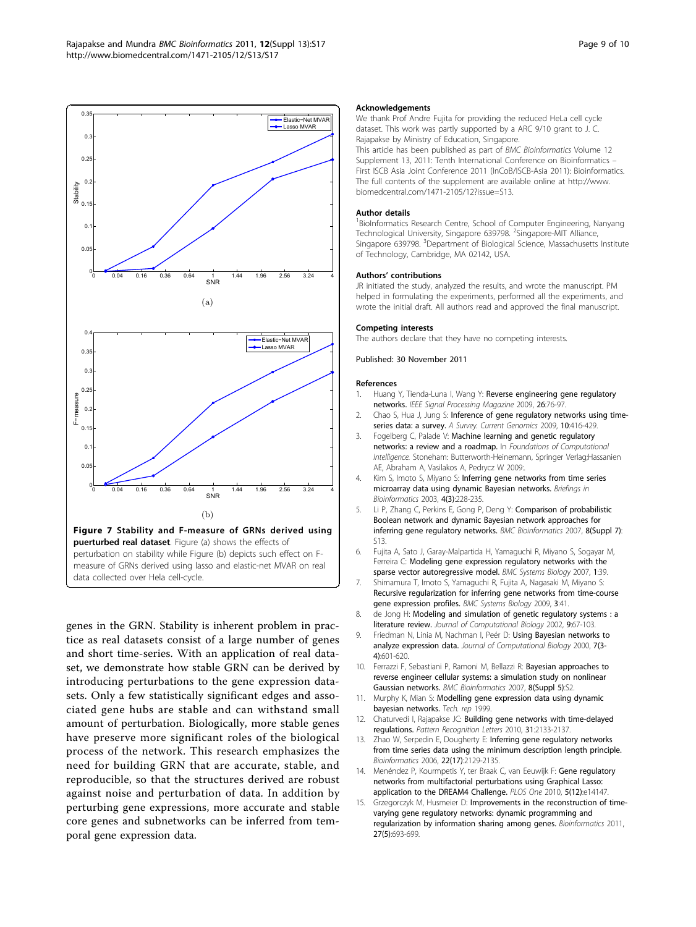genes in the GRN. Stability is inherent problem in practice as real datasets consist of a large number of genes and short time-series. With an application of real dataset, we demonstrate how stable GRN can be derived by introducing perturbations to the gene expression datasets. Only a few statistically significant edges and associated gene hubs are stable and can withstand small amount of perturbation. Biologically, more stable genes have preserve more significant roles of the biological process of the network. This research emphasizes the need for building GRN that are accurate, stable, and reproducible, so that the structures derived are robust against noise and perturbation of data. In addition by perturbing gene expressions, more accurate and stable core genes and subnetworks can be inferred from temporal gene expression data.

data collected over Hela cell-cycle.

Acknowledgements

We thank Prof Andre Fujita for providing the reduced HeLa cell cycle dataset. This work was partly supported by a ARC 9/10 grant to J. C. Rajapakse by Ministry of Education, Singapore.

This article has been published as part of BMC Bioinformatics Volume 12 Supplement 13, 2011: Tenth International Conference on Bioinformatics -First ISCB Asia Joint Conference 2011 (InCoB/ISCB-Asia 2011): Bioinformatics. The full contents of the supplement are available online at [http://www.](http://www.biomedcentral.com/1471-2105/12?issue=S13) [biomedcentral.com/1471-2105/12?issue=S13](http://www.biomedcentral.com/1471-2105/12?issue=S13).

#### Author details

<sup>1</sup> BioInformatics Research Centre, School of Computer Engineering, Nanyang Technological University, Singapore 639798. <sup>2</sup>Singapore-MIT Alliance Singapore 639798. <sup>3</sup>Department of Biological Science, Massachusetts Institute of Technology, Cambridge, MA 02142, USA.

#### Authors' contributions

JR initiated the study, analyzed the results, and wrote the manuscript. PM helped in formulating the experiments, performed all the experiments, and wrote the initial draft. All authors read and approved the final manuscript.

#### Competing interests

The authors declare that they have no competing interests.

Published: 30 November 2011

#### References

- 1. Huang Y, Tienda-Luna I, Wang Y: [Reverse engineering gene regulatory](http://www.ncbi.nlm.nih.gov/pubmed/20046885?dopt=Abstract) [networks.](http://www.ncbi.nlm.nih.gov/pubmed/20046885?dopt=Abstract) IEEE Signal Processing Magazine 2009, 26:76-97.
- 2. Chao S, Hua J, Jung S: Inference of gene regulatory networks using timeseries data: a survey. A Survey. Current Genomics 2009, 10:416-429.
- 3. Fogelberg C, Palade V: Machine learning and genetic regulatory networks: a review and a roadmap. In Foundations of Computational Intelligence. Stoneham: Butterworth-Heinemann, Springer Verlag;Hassanien AE, Abraham A, Vasilakos A, Pedrycz W 2009:.
- 4. Kim S, Imoto S, Miyano S: [Inferring gene networks from time series](http://www.ncbi.nlm.nih.gov/pubmed/14582517?dopt=Abstract) [microarray data using dynamic Bayesian networks.](http://www.ncbi.nlm.nih.gov/pubmed/14582517?dopt=Abstract) Briefings in Bioinformatics 2003, 4(3):228-235.
- 5. Li P, Zhang C, Perkins E, Gong P, Deng Y: [Comparison of probabilistic](http://www.ncbi.nlm.nih.gov/pubmed/18047712?dopt=Abstract) [Boolean network and dynamic Bayesian network approaches for](http://www.ncbi.nlm.nih.gov/pubmed/18047712?dopt=Abstract) [inferring gene regulatory networks.](http://www.ncbi.nlm.nih.gov/pubmed/18047712?dopt=Abstract) BMC Bioinformatics 2007, 8(Suppl 7): S13.
- 6. Fujita A, Sato J, Garay-Malpartida H, Yamaguchi R, Miyano S, Sogayar M, Ferreira C: [Modeling gene expression regulatory networks with the](http://www.ncbi.nlm.nih.gov/pubmed/17761000?dopt=Abstract) [sparse vector autoregressive model.](http://www.ncbi.nlm.nih.gov/pubmed/17761000?dopt=Abstract) BMC Systems Biology 2007, 1:39.
- 7. Shimamura T, Imoto S, Yamaguchi R, Fujita A, Nagasaki M, Miyano S: [Recursive regularization for inferring gene networks from time-course](http://www.ncbi.nlm.nih.gov/pubmed/19386091?dopt=Abstract) [gene expression profiles.](http://www.ncbi.nlm.nih.gov/pubmed/19386091?dopt=Abstract) BMC Systems Biology 2009, 3:41.
- 8. de Jong H: [Modeling and simulation of genetic regulatory systems : a](http://www.ncbi.nlm.nih.gov/pubmed/11911796?dopt=Abstract) [literature review.](http://www.ncbi.nlm.nih.gov/pubmed/11911796?dopt=Abstract) Journal of Computational Biology 2002, 9:67-103.
- 9. Friedman N, Linia M, Nachman I, Peér D: [Using Bayesian networks to](http://www.ncbi.nlm.nih.gov/pubmed/11108481?dopt=Abstract) [analyze expression data.](http://www.ncbi.nlm.nih.gov/pubmed/11108481?dopt=Abstract) Journal of Computational Biology 2000, 7(3-4):601-620.
- 10. Ferrazzi F, Sebastiani P, Ramoni M, Bellazzi R: [Bayesian approaches to](http://www.ncbi.nlm.nih.gov/pubmed/18269696?dopt=Abstract) [reverse engineer cellular systems: a simulation study on nonlinear](http://www.ncbi.nlm.nih.gov/pubmed/18269696?dopt=Abstract) [Gaussian networks.](http://www.ncbi.nlm.nih.gov/pubmed/18269696?dopt=Abstract) BMC Bioinformatics 2007, 8(Suppl 5):S2.
- 11. Murphy K, Mian S: Modelling gene expression data using dynamic bayesian networks. Tech. rep 1999.
- 12. Chaturvedi I, Rajapakse JC: Building gene networks with time-delayed regulations. Pattern Recognition Letters 2010, 31:2133-2137.
- 13. Zhao W, Serpedin E, Dougherty E: [Inferring gene regulatory networks](http://www.ncbi.nlm.nih.gov/pubmed/16845143?dopt=Abstract) [from time series data using the minimum description length principle.](http://www.ncbi.nlm.nih.gov/pubmed/16845143?dopt=Abstract) Bioinformatics 2006, 22(17):2129-2135.
- 14. Menéndez P, Kourmpetis Y, ter Braak C, van Eeuwijk F: [Gene regulatory](http://www.ncbi.nlm.nih.gov/pubmed/21188141?dopt=Abstract) [networks from multifactorial perturbations using Graphical Lasso:](http://www.ncbi.nlm.nih.gov/pubmed/21188141?dopt=Abstract) [application to the DREAM4 Challenge.](http://www.ncbi.nlm.nih.gov/pubmed/21188141?dopt=Abstract) PLOS One 2010, 5(12):e14147.
- 15. Grzegorczyk M, Husmeier D: Improvements [in the reconstruction of time](http://www.ncbi.nlm.nih.gov/pubmed/21177328?dopt=Abstract)[varying gene regulatory networks: dynamic programming and](http://www.ncbi.nlm.nih.gov/pubmed/21177328?dopt=Abstract) [regularization by information sharing among genes.](http://www.ncbi.nlm.nih.gov/pubmed/21177328?dopt=Abstract) Bioinformatics 2011, 27(5):693-699.

<span id="page-8-0"></span>